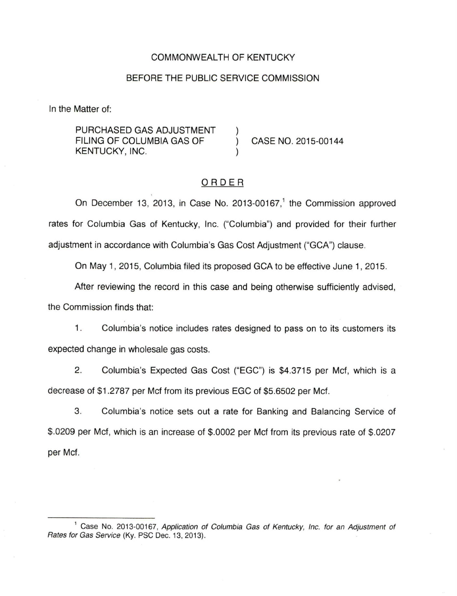## COMMONWEALTH OF KENTUCKY

#### BEFORE THE PUBLIC SERVICE COMMISSION

In the Matter of:

PURCHASED GAS ADJUSTMENT FILING OF COLUMBIA GAS OF KENTUCKY, INC.

CASE NO. 2015-00144

## ORDER

On December 13, 2013, in Case No. 2013-00167,<sup>1</sup> the Commission approved rates for Columbia Gas of Kentucky, Inc. ("Columbia") and provided for their further adjustment in accordance with Columbia's Gas Cost Adjustment ("GCA") clause.

On May 1, 2015, Columbia filed its proposed GCA to be effective June 1, 2015.

After reviewing the record in this case and being otherwise sufficiently advised,

the Commission finds that:

1. Columbia's notice includes rates designed to pass on to its customers its expected change in wholesale gas costs.

2. Columbia's Expected Gas Cost ("EGC") is \$4.3715 per Mcf, which is a decrease of \$1.2787 per Mcf from its previous EGC of \$5.6502 per Mcf.

3. Columbia's notice sets out a rate for Banking and Balancing Service of \$.0209 per Mcf, which is an increase of \$.0002 per Mcf from its previous rate of \$.0207 per Mcf.

<sup>&</sup>lt;sup>1</sup> Case No. 2013-00167, Application of Columbia Gas of Kentucky, Inc. for an Adjustment of Rates for Gas Service (Ky. PSC Dec. 13, 2013).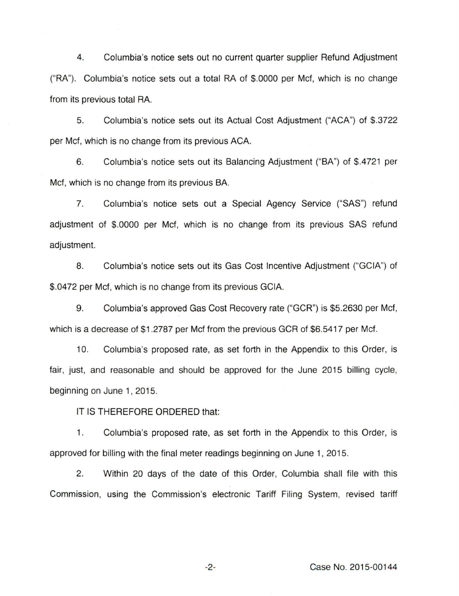4. Columbia's notice sets out no current quarter supplier Refund Adjustment ("RA"). Columbia's notice sets out a total RA of \$.0000 per Mcf, which is no change from its previous total RA.

5. Columbia's notice sets out its Actual Cost Adjustment ("ACA") of \$.3722 per Mcf, which is no change from its previous ACA.

6. Columbia's notice sets out its Balancing Adjustment ("BA") of \$.4721 per Mcf, which is no change from its previous BA.

7. Columbia's notice sets out a Special Agency Service ("SAS") refund adjustment of \$.0000 per Mcf, which is no change from its previous SAS refund adjustment.

8. Columbia's notice sets out its Gas Cost Incentive Adjustment ("GCIA") of \$.0472 per Mcf, which is no change from its previous GCIA.

9. Columbia's approved Gas Cost Recovery rate ("GCR") is \$5.2630 per Mcf, which is a decrease of \$1.2787 per Mcf from the previous GCR of \$6.5417 per Mcf.

10. Columbia's proposed rate, as set forth in the Appendix to this Order, is fair, just, and reasonable and should be approved for the June 2015 billing cycle, beginning on June 1, 2015.

IT IS THEREFORE ORDERED that:

1. Columbia's proposed rate, as set forth in the Appendix to this Order, is approved for billing with the final meter readings beginning on June 1, 2015.

2. Within 20 days of the date of this Order, Columbia shall file with this Commission, using the Commission's electronic Tariff Filing System, revised tariff

-2- Case No. 2015-00144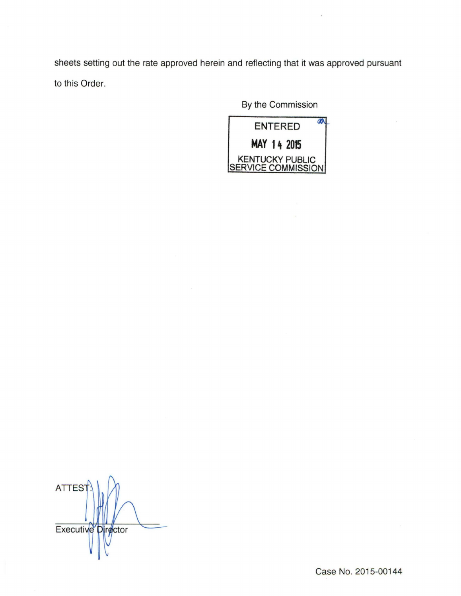sheets setting out the rate approved herein and reflecting that it was approved pursuant to this Order.

By the Commission



**ATTEST** Executive Director

Case No. 2015-00144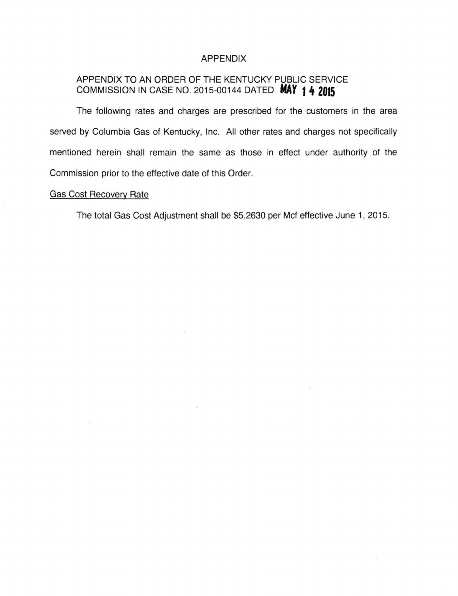### APPENDIX

# APPENDIX TO AN ORDER OF THE KENTUCKY PUBLIC SERVICE COMMISSION IN CASE NO. 2015-00144 DATED *NAY* **t .It <sup>2015</sup>**

The following rates and charges are prescribed for the customers in the area served by Columbia Gas of Kentucky, Inc. All other rates and charges not specifically mentioned herein shall remain the same as those in effect under authority of the Commission prior to the effective date of this Order.

### Gas Cost Recovery Rate

The total Gas Cost Adjustment shall be \$5.2630 per Mcf effective June 1, 2015.